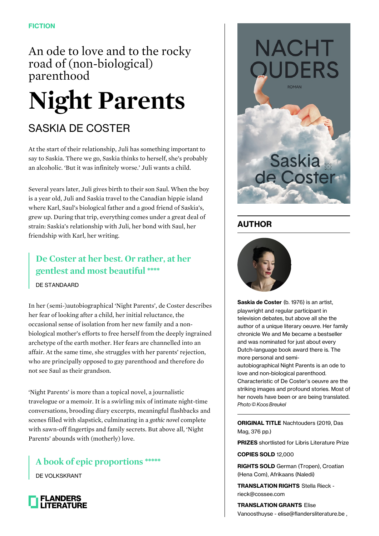An ode to love and to the rocky road of (non-biological) parenthood

## **Night Parents**

## SASKIA DE COSTER

At the start of their relationship, Juli has something important to say to Saskia. There we go, Saskia thinks to herself, she's probably an alcoholic. 'But it was infinitely worse.' Juli wants a child.

Several years later, Juli gives birth to their son Saul. When the boy is a year old, Juli and Saskia travel to the Canadian hippie island where Karl, Saul's biological father and a good friend of Saskia's, grew up. During that trip, everything comes under a great deal of strain: Saskia's relationship with Juli, her bond with Saul, her friendship with Karl, her writing.

## **De Coster at her best. Or rather, at her gentlest and most beautiful \*\*\*\***

DE STANDAARD

In her (semi-)autobiographical 'Night Parents', de Coster describes her fear of looking after a child, her initial reluctance, the occasional sense of isolation from her new family and a nonbiological mother's efforts to free herself from the deeply ingrained archetype of the earth mother. Her fears are channelled into an affair. At the same time, she struggles with her parents' rejection, who are principally opposed to gay parenthood and therefore do not see Saul as their grandson.

'Night Parents' is more than a topical novel, a journalistic travelogue or a memoir. It is a swirling mix of intimate night-time conversations, brooding diary excerpts, meaningful flashbacks and scenes filled with slapstick, culminating in a *gothic novel* complete with sawn-off fingertips and family secrets. But above all, 'Night Parents' abounds with (motherly) love.

**A book of epic proportions \*\*\*\*\***

DE VOLKSKRANT





## **AUTHOR**



**Saskia de Coster** (b. 1976) is an artist, playwright and regular participant in television debates, but above all she the author of a unique literary oeuvre. Her family chronicle We and Me became a bestseller and was nominated for just about every Dutch-language book award there is. The more personal and semi-

autobiographical Night Parents is an ode to love and non-biological parenthood. Characteristic of De Coster's oeuvre are the striking images and profound stories. Most of her novels have been or are being translated. Photo © Koos Breukel

**ORIGINAL TITLE** Nachtouders (2019, Das Mag, 376 pp.)

**PRIZES** shortlisted for Libris Literature Prize

**COPIES SOLD** 12,000

**RIGHTS SOLD** German (Tropen), Croatian (Hena Com), Afrikaans (Naledi)

**TRANSLATION RIGHTS** Stella Rieck rieck@cossee.com

**TRANSLATION GRANTS** Elise Vanoosthuyse - elise@flandersliterature.be ,